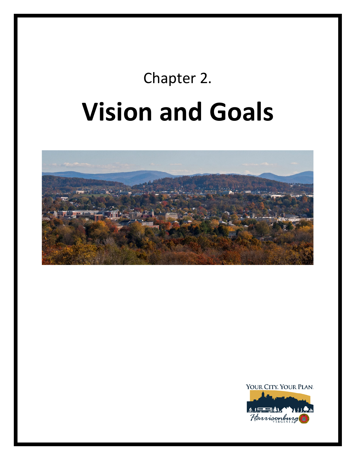# Chapter 2. **Vision and Goals**



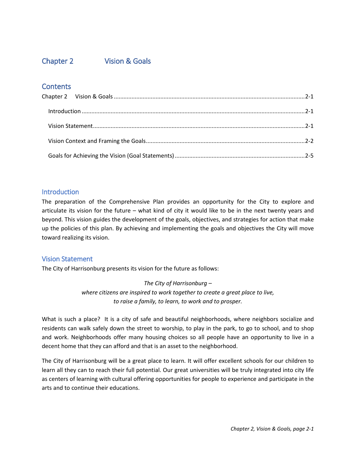# <span id="page-1-0"></span>Chapter 2 Vision & Goals

## **Contents**

## <span id="page-1-1"></span>**Introduction**

The preparation of the Comprehensive Plan provides an opportunity for the City to explore and articulate its vision for the future – what kind of city it would like to be in the next twenty years and beyond. This vision guides the development of the goals, objectives, and strategies for action that make up the policies of this plan. By achieving and implementing the goals and objectives the City will move toward realizing its vision.

## <span id="page-1-2"></span>Vision Statement

The City of Harrisonburg presents its vision for the future as follows:

*The City of Harrisonburg – where citizens are inspired to work together to create a great place to live, to raise a family, to learn, to work and to prosper.*

What is such a place? It is a city of safe and beautiful neighborhoods, where neighbors socialize and residents can walk safely down the street to worship, to play in the park, to go to school, and to shop and work. Neighborhoods offer many housing choices so all people have an opportunity to live in a decent home that they can afford and that is an asset to the neighborhood.

The City of Harrisonburg will be a great place to learn. It will offer excellent schools for our children to learn all they can to reach their full potential. Our great universities will be truly integrated into city life as centers of learning with cultural offering opportunities for people to experience and participate in the arts and to continue their educations.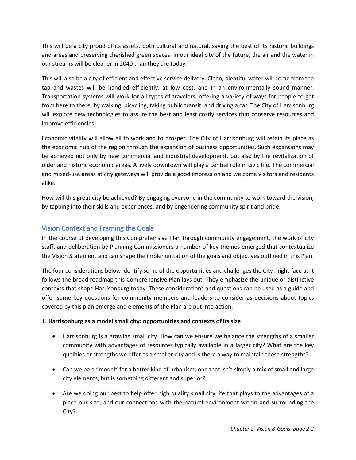This will be a city proud of its assets, both cultural and natural, saving the best of its historic buildings and areas and preserving cherished green spaces. In our ideal city of the future, the air and the water in our streams will be cleaner in 2040 than they are today.

This will also be a city of efficient and effective service delivery. Clean, plentiful water will come from the tap and wastes will be handled efficiently, at low cost, and in an environmentally sound manner. Transportation systems will work for all types of travelers, offering a variety of ways for people to get from here to there, by walking, bicycling, taking public transit, and driving a car. The City of Harrisonburg will explore new technologies to assure the best and least costly services that conserve resources and improve efficiencies.

Economic vitality will allow all to work and to prosper. The City of Harrisonburg will retain its place as the economic hub of the region through the expansion of business opportunities. Such expansions may be achieved not only by new commercial and industrial development, but also by the revitalization of older and historic economic areas. A lively downtown will play a central role in civic life. The commercial and mixed-use areas at city gateways will provide a good impression and welcome visitors and residents alike.

How will this great city be achieved? By engaging everyone in the community to work toward the vision, by tapping into their skills and experiences, and by engendering community spirit and pride.

## <span id="page-2-0"></span>Vision Context and Framing the Goals

In the course of developing this Comprehensive Plan through community engagement, the work of city staff, and deliberation by Planning Commissioners a number of key themes emerged that contextualize the Vision Statement and can shape the implementation of the goals and objectives outlined in this Plan.

The four considerations below identify some of the opportunities and challenges the City might face as it follows the broad roadmap this Comprehensive Plan lays out. They emphasize the unique or distinctive contexts that shape Harrisonburg today. These considerations and questions can be used as a guide and offer some key questions for community members and leaders to consider as decisions about topics covered by this plan emerge and elements of the Plan are put into action.

## **1. Harrisonburg as a model small city: opportunities and contexts of its size**

- Harrisonburg is a growing small city. How can we ensure we balance the strengths of a smaller community with advantages of resources typically available in a larger city? What are the key qualities or strengths we offer as a smaller city and is there a way to maintain those strengths?
- Can we be a "model" for a better kind of urbanism; one that isn't simply a mix of small and large city elements, but is something different and superior?
- Are we doing our best to help offer high quality small city life that plays to the advantages of a place our size, and our connections with the natural environment within and surrounding the City?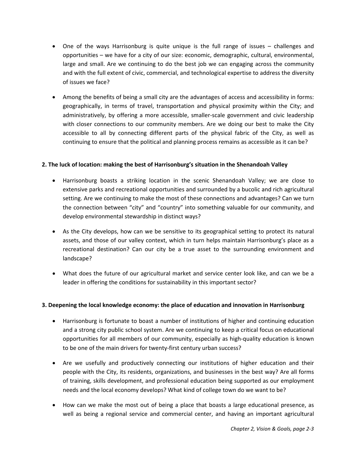- One of the ways Harrisonburg is quite unique is the full range of issues challenges and opportunities – we have for a city of our size: economic, demographic, cultural, environmental, large and small. Are we continuing to do the best job we can engaging across the community and with the full extent of civic, commercial, and technological expertise to address the diversity of issues we face?
- Among the benefits of being a small city are the advantages of access and accessibility in forms: geographically, in terms of travel, transportation and physical proximity within the City; and administratively, by offering a more accessible, smaller-scale government and civic leadership with closer connections to our community members. Are we doing our best to make the City accessible to all by connecting different parts of the physical fabric of the City, as well as continuing to ensure that the political and planning process remains as accessible as it can be?

#### **2. The luck of location: making the best of Harrisonburg's situation in the Shenandoah Valley**

- Harrisonburg boasts a striking location in the scenic Shenandoah Valley; we are close to extensive parks and recreational opportunities and surrounded by a bucolic and rich agricultural setting. Are we continuing to make the most of these connections and advantages? Can we turn the connection between "city" and "country" into something valuable for our community, and develop environmental stewardship in distinct ways?
- As the City develops, how can we be sensitive to its geographical setting to protect its natural assets, and those of our valley context, which in turn helps maintain Harrisonburg's place as a recreational destination? Can our city be a true asset to the surrounding environment and landscape?
- What does the future of our agricultural market and service center look like, and can we be a leader in offering the conditions for sustainability in this important sector?

#### **3. Deepening the local knowledge economy: the place of education and innovation in Harrisonburg**

- Harrisonburg is fortunate to boast a number of institutions of higher and continuing education and a strong city public school system. Are we continuing to keep a critical focus on educational opportunities for all members of our community, especially as high-quality education is known to be one of the main drivers for twenty-first century urban success?
- Are we usefully and productively connecting our institutions of higher education and their people with the City, its residents, organizations, and businesses in the best way? Are all forms of training, skills development, and professional education being supported as our employment needs and the local economy develops? What kind of college town do we want to be?
- How can we make the most out of being a place that boasts a large educational presence, as well as being a regional service and commercial center, and having an important agricultural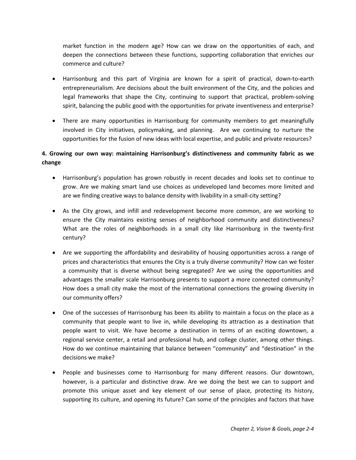market function in the modern age? How can we draw on the opportunities of each, and deepen the connections between these functions, supporting collaboration that enriches our commerce and culture?

- Harrisonburg and this part of Virginia are known for a spirit of practical, down-to-earth entrepreneurialism. Are decisions about the built environment of the City, and the policies and legal frameworks that shape the City, continuing to support that practical, problem-solving spirit, balancing the public good with the opportunities for private inventiveness and enterprise?
- There are many opportunities in Harrisonburg for community members to get meaningfully involved in City initiatives, policymaking, and planning. Are we continuing to nurture the opportunities for the fusion of new ideas with local expertise, and public and private resources?

## **4. Growing our own way: maintaining Harrisonburg's distinctiveness and community fabric as we change**

- Harrisonburg's population has grown robustly in recent decades and looks set to continue to grow. Are we making smart land use choices as undeveloped land becomes more limited and are we finding creative ways to balance density with livability in a small-city setting?
- As the City grows, and infill and redevelopment become more common, are we working to ensure the City maintains existing senses of neighborhood community and distinctiveness? What are the roles of neighborhoods in a small city like Harrisonburg in the twenty-first century?
- Are we supporting the affordability and desirability of housing opportunities across a range of prices and characteristics that ensures the City is a truly diverse community? How can we foster a community that is diverse without being segregated? Are we using the opportunities and advantages the smaller scale Harrisonburg presents to support a more connected community? How does a small city make the most of the international connections the growing diversity in our community offers?
- One of the successes of Harrisonburg has been its ability to maintain a focus on the place as a community that people want to live in, while developing its attraction as a destination that people want to visit. We have become a destination in terms of an exciting downtown, a regional service center, a retail and professional hub, and college cluster, among other things. How do we continue maintaining that balance between "community" and "destination" in the decisions we make?
- People and businesses come to Harrisonburg for many different reasons. Our downtown, however, is a particular and distinctive draw. Are we doing the best we can to support and promote this unique asset and key element of our sense of place, protecting its history, supporting its culture, and opening its future? Can some of the principles and factors that have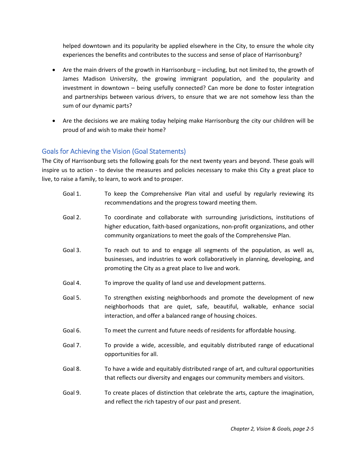helped downtown and its popularity be applied elsewhere in the City, to ensure the whole city experiences the benefits and contributes to the success and sense of place of Harrisonburg?

- Are the main drivers of the growth in Harrisonburg including, but not limited to, the growth of James Madison University, the growing immigrant population, and the popularity and investment in downtown – being usefully connected? Can more be done to foster integration and partnerships between various drivers, to ensure that we are not somehow less than the sum of our dynamic parts?
- Are the decisions we are making today helping make Harrisonburg the city our children will be proud of and wish to make their home?

## <span id="page-5-0"></span>Goals for Achieving the Vision (Goal Statements)

The City of Harrisonburg sets the following goals for the next twenty years and beyond. These goals will inspire us to action - to devise the measures and policies necessary to make this City a great place to live, to raise a family, to learn, to work and to prosper.

- Goal 1. To keep the Comprehensive Plan vital and useful by regularly reviewing its recommendations and the progress toward meeting them.
- Goal 2. To coordinate and collaborate with surrounding jurisdictions, institutions of higher education, faith-based organizations, non-profit organizations, and other community organizations to meet the goals of the Comprehensive Plan.
- Goal 3. To reach out to and to engage all segments of the population, as well as, businesses, and industries to work collaboratively in planning, developing, and promoting the City as a great place to live and work.
- Goal 4. To improve the quality of land use and development patterns.
- Goal 5. To strengthen existing neighborhoods and promote the development of new neighborhoods that are quiet, safe, beautiful, walkable, enhance social interaction, and offer a balanced range of housing choices.
- Goal 6. To meet the current and future needs of residents for affordable housing.
- Goal 7. To provide a wide, accessible, and equitably distributed range of educational opportunities for all.
- Goal 8. To have a wide and equitably distributed range of art, and cultural opportunities that reflects our diversity and engages our community members and visitors.
- Goal 9. To create places of distinction that celebrate the arts, capture the imagination, and reflect the rich tapestry of our past and present.